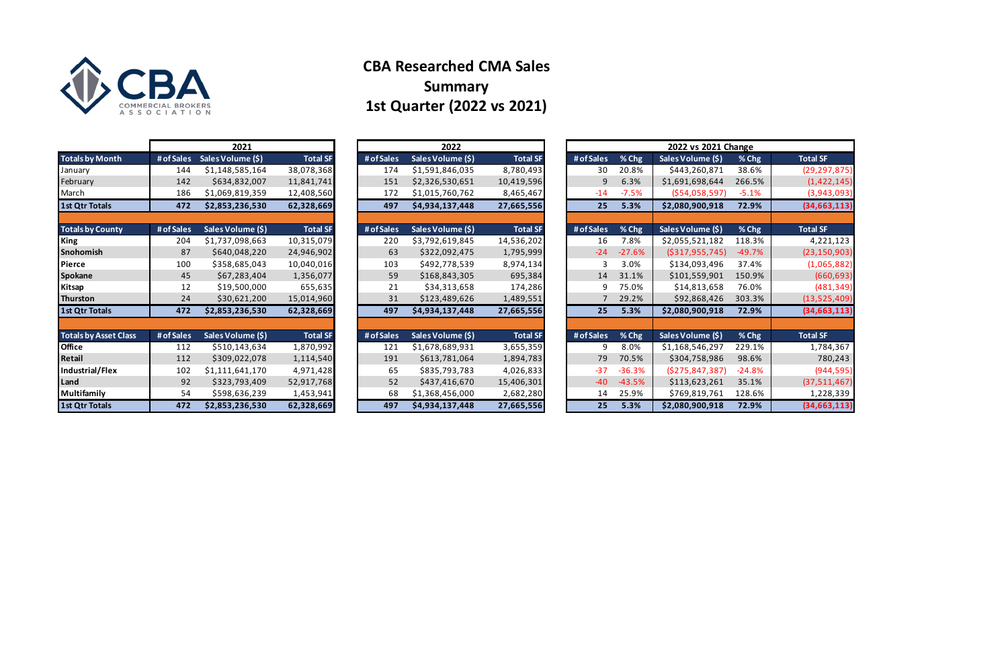|                              |            | 2021              |                 |            |                   | 2022 vs 2021 Change |            |          |                    |          |                 |  |
|------------------------------|------------|-------------------|-----------------|------------|-------------------|---------------------|------------|----------|--------------------|----------|-----------------|--|
| <b>Totals by Month</b>       | # of Sales | Sales Volume (\$) | <b>Total SF</b> | # of Sales | Sales Volume (\$) | <b>Total SF</b>     | # of Sales | % Chg    | Sales Volume (\$)  | % Chg    | <b>Total SF</b> |  |
| January                      | 144        | \$1,148,585,164   | 38,078,368      | 174        | \$1,591,846,035   | 8,780,493           | 30         | 20.8%    | \$443,260,871      | 38.6%    | (29, 29)        |  |
| February                     | 142        | \$634,832,007     | 11,841,741      | 151        | \$2,326,530,651   | 10,419,596          | 9          | 6.3%     | \$1,691,698,644    | 266.5%   | (1, 42)         |  |
| March                        | 186        | \$1,069,819,359   | 12,408,560      | 172        | \$1,015,760,762   | 8,465,467           | $-14$      | $-7.5%$  | ( \$54,058,597)    | $-5.1%$  | (3, 94)         |  |
| <b>1st Qtr Totals</b>        | 472        | \$2,853,236,530   | 62,328,669      | 497        | \$4,934,137,448   | 27,665,556          | 25         | 5.3%     | \$2,080,900,918    | 72.9%    | (34, 66)        |  |
|                              |            |                   |                 |            |                   |                     |            |          |                    |          |                 |  |
| <b>Totals by County</b>      | # of Sales | Sales Volume (\$) | <b>Total SF</b> | # of Sales | Sales Volume (\$) | <b>Total SF</b>     | # of Sales | % Chg    | Sales Volume (\$)  | % Chg    | <b>Total SF</b> |  |
| King                         | 204        | \$1,737,098,663   | 10,315,079      | 220        | \$3,792,619,845   | 14,536,202          | 16         | 7.8%     | \$2,055,521,182    | 118.3%   | 4,22            |  |
| Snohomish                    | 87         | \$640,048,220     | 24,946,902      | 63         | \$322,092,475     | 1,795,999           | $-24$      | $-27.6%$ | ( \$317, 955, 745) | $-49.7%$ | (23, 15)        |  |
| Pierce                       | 100        | \$358,685,043     | 10,040,016      | 103        | \$492,778,539     | 8,974,134           | 3          | 3.0%     | \$134,093,496      | 37.4%    | (1,06)          |  |
| Spokane                      | 45         | \$67,283,404      | 1,356,077       | 59         | \$168,843,305     | 695,384             | 14         | 31.1%    | \$101,559,901      | 150.9%   | (66)            |  |
| Kitsap                       | 12         | \$19,500,000      | 655,635         | 21         | \$34,313,658      | 174,286             | 9          | 75.0%    | \$14,813,658       | 76.0%    | (48)            |  |
| Thurston                     | 24         | \$30,621,200      | 15,014,960      | 31         | \$123,489,626     | 1,489,551           |            | 29.2%    | \$92,868,426       | 303.3%   | (13, 52)        |  |
| 1st Qtr Totals               | 472        | \$2,853,236,530   | 62,328,669      | 497        | \$4,934,137,448   | 27,665,556          | 25         | 5.3%     | \$2,080,900,918    | 72.9%    | (34, 66)        |  |
|                              |            |                   |                 |            |                   |                     |            |          |                    |          |                 |  |
| <b>Totals by Asset Class</b> | # of Sales | Sales Volume (\$) | <b>Total SF</b> | # of Sales | Sales Volume (\$) | <b>Total SF</b>     | # of Sales | % Chg    | Sales Volume (\$)  | % Chg    | <b>Total SF</b> |  |
| <b>Office</b>                | 112        | \$510,143,634     | 1,870,992       | 121        | \$1,678,689,931   | 3,655,359           | 9          | 8.0%     | \$1,168,546,297    | 229.1%   | 1,78            |  |
| Retail                       | 112        | \$309,022,078     | 1,114,540       | 191        | \$613,781,064     | 1,894,783           | 79         | 70.5%    | \$304,758,986      | 98.6%    | 78              |  |
| Industrial/Flex              | 102        | \$1,111,641,170   | 4,971,428       | 65         | \$835,793,783     | 4,026,833           | $-37$      | $-36.3%$ | (5275, 847, 387)   | $-24.8%$ | (94)            |  |
| Land                         | 92         | \$323,793,409     | 52,917,768      | 52         | \$437,416,670     | 15,406,301          | $-40$      | $-43.5%$ | \$113,623,261      | 35.1%    | (37, 51)        |  |
| Multifamily                  | 54         | \$598,636,239     | 1,453,941       | 68         | \$1,368,456,000   | 2,682,280           | 14         | 25.9%    | \$769,819,761      | 128.6%   | 1,22            |  |
| <b>1st Qtr Totals</b>        | 472        | \$2,853,236,530   | 62,328,669      | 497        | \$4,934,137,448   | 27,665,556          | 25         | 5.3%     | \$2,080,900,918    | 72.9%    | (34, 66)        |  |

|                              |            | 2021              |                 | 2022       |                   |                 |  |            | 2022 vs 2021 Change |                    |          |                 |  |  |  |  |
|------------------------------|------------|-------------------|-----------------|------------|-------------------|-----------------|--|------------|---------------------|--------------------|----------|-----------------|--|--|--|--|
| <b>Totals by Month</b>       | # of Sales | Sales Volume (\$) | <b>Total SF</b> | # of Sales | Sales Volume (\$) | <b>Total SF</b> |  | # of Sales | % Chg               | Sales Volume (\$)  | % Chg    | <b>Total SF</b> |  |  |  |  |
| January                      | 144        | \$1,148,585,164   | 38,078,368      | 174        | \$1,591,846,035   | 8,780,493       |  | 30         | 20.8%               | \$443,260,871      | 38.6%    | (29, 297, 875)  |  |  |  |  |
| February                     | 142        | \$634,832,007     | 11,841,741      | 151        | \$2,326,530,651   | 10,419,596      |  | 9          | 6.3%                | \$1,691,698,644    | 266.5%   | (1, 422, 145)   |  |  |  |  |
| March                        | 186        | \$1,069,819,359   | 12,408,560      | 172        | \$1,015,760,762   | 8,465,467       |  | $-14$      | $-7.5%$             | (554,058,597)      | $-5.1%$  | (3,943,093)     |  |  |  |  |
| 1st Qtr Totals               | 472        | \$2,853,236,530   | 62,328,669      | 497        | \$4,934,137,448   | 27,665,556      |  | 25         | 5.3%                | \$2,080,900,918    | 72.9%    | (34, 663, 113)  |  |  |  |  |
|                              |            |                   |                 |            |                   |                 |  |            |                     |                    |          |                 |  |  |  |  |
| <b>Totals by County</b>      | # of Sales | Sales Volume (\$) | <b>Total SF</b> | # of Sales | Sales Volume (\$) | <b>Total SF</b> |  | # of Sales | % Chg               | Sales Volume (\$)  | % Chg    | <b>Total SF</b> |  |  |  |  |
| <b>King</b>                  | 204        | \$1,737,098,663   | 10,315,079      | 220        | \$3,792,619,845   | 14,536,202      |  | 16         | 7.8%                | \$2,055,521,182    | 118.3%   | 4,221,123       |  |  |  |  |
| Snohomish                    | 87         | \$640,048,220     | 24,946,902      | 63         | \$322,092,475     | 1,795,999       |  | $-24$      | $-27.6%$            | ( \$317, 955, 745) | $-49.7%$ | (23, 150, 903)  |  |  |  |  |
| Pierce                       | 100        | \$358,685,043     | 10,040,016      | 103        | \$492,778,539     | 8,974,134       |  | 3          | 3.0%                | \$134,093,496      | 37.4%    | (1,065,882)     |  |  |  |  |
| <b>Spokane</b>               | 45         | \$67,283,404      | 1,356,077       | 59         | \$168,843,305     | 695,384         |  | 14         | 31.1%               | \$101,559,901      | 150.9%   | (660, 693)      |  |  |  |  |
| Kitsap                       | 12         | \$19,500,000      | 655,635         | 21         | \$34,313,658      | 174,286         |  | 9          | 75.0%               | \$14,813,658       | 76.0%    | (481, 349)      |  |  |  |  |
| Thurston                     | 24         | \$30,621,200      | 15,014,960      | 31         | \$123,489,626     | 1,489,551       |  |            | 29.2%               | \$92,868,426       | 303.3%   | (13,525,409)    |  |  |  |  |
| 1st Qtr Totals               | 472        | \$2,853,236,530   | 62,328,669      | 497        | \$4,934,137,448   | 27,665,556      |  | 25         | 5.3%                | \$2,080,900,918    | 72.9%    | (34, 663, 113)  |  |  |  |  |
|                              |            |                   |                 |            |                   |                 |  |            |                     |                    |          |                 |  |  |  |  |
| <b>Totals by Asset Class</b> | # of Sales | Sales Volume (\$) | <b>Total SF</b> | # of Sales | Sales Volume (\$) | <b>Total SF</b> |  | # of Sales | % Chg               | Sales Volume (\$)  | % Chg    | <b>Total SF</b> |  |  |  |  |
| <b>Office</b>                | 112        | \$510,143,634     | 1,870,992       | 121        | \$1,678,689,931   | 3,655,359       |  | 9          | 8.0%                | \$1,168,546,297    | 229.1%   | 1,784,367       |  |  |  |  |
| Retail                       | 112        | \$309,022,078     | 1,114,540       | 191        | \$613,781,064     | 1,894,783       |  | 79         | 70.5%               | \$304,758,986      | 98.6%    | 780,243         |  |  |  |  |
| Industrial/Flex              | 102        | \$1,111,641,170   | 4,971,428       | 65         | \$835,793,783     | 4,026,833       |  | $-37$      | $-36.3%$            | (\$275,847,387)    | $-24.8%$ | (944, 595)      |  |  |  |  |
| Land                         | 92         | \$323,793,409     | 52,917,768      | 52         | \$437,416,670     | 15,406,301      |  | $-40$      | $-43.5%$            | \$113,623,261      | 35.1%    | (37,511,467)    |  |  |  |  |
| Multifamily                  | 54         | \$598,636,239     | 1,453,941       | 68         | \$1,368,456,000   | 2,682,280       |  | 14         | 25.9%               | \$769,819,761      | 128.6%   | 1,228,339       |  |  |  |  |
| 1st Qtr Totals               | 472        | \$2,853,236,530   | 62,328,669      | 497        | \$4,934,137,448   | 27,665,556      |  | 25         | 5.3%                | \$2,080,900,918    | 72.9%    | (34, 663, 113)  |  |  |  |  |



# **CBA Researched CMA Sales Summary 1st Quarter (2022 vs 2021)**

| 2021                  |                 |            | 2022              |                 |            |          | 2022 vs 2021 Change |             |
|-----------------------|-----------------|------------|-------------------|-----------------|------------|----------|---------------------|-------------|
| lume $(\overline{5})$ | <b>Total SF</b> | # of Sales | Sales Volume (\$) | <b>Total SF</b> | # of Sales | % Chg    | Sales Volume (\$)   | %C          |
| ,585,164              | 38,078,368      | 174        | \$1,591,846,035   | 8,780,493       | 30         | 20.8%    | \$443,260,871       | 38.6        |
| ,832,007              | 11,841,741      | 151        | \$2,326,530,651   | 10,419,596      | 9          | 6.3%     | \$1,691,698,644     | 266.        |
| ,819,359              | 12,408,560      | 172        | \$1,015,760,762   | 8,465,467       | $-14$      | $-7.5%$  | ( \$54,058,597)     | $-5.1$      |
| ,236,530              | 62,328,669      | 497        | \$4,934,137,448   | 27,665,556      | 25         | 5.3%     | \$2,080,900,918     | 72.9        |
|                       |                 |            |                   |                 |            |          |                     |             |
| olume (\$)            | <b>Total SF</b> | # of Sales | Sales Volume (\$) | <b>Total SF</b> | # of Sales | % Chg    | Sales Volume (\$)   | %Cl         |
| ,098,663              | 10,315,079      | 220        | \$3,792,619,845   | 14,536,202      | 16         | 7.8%     | \$2,055,521,182     | 118.        |
| ,048,220              | 24,946,902      | 63         | \$322,092,475     | 1,795,999       | $-24$      | $-27.6%$ | ( \$317, 955, 745)  | $-49.$      |
| ,685,043              | 10,040,016      | 103        | \$492,778,539     | 8,974,134       | 3          | 3.0%     | \$134,093,496       | 37.4        |
| ,283,404              | 1,356,077       | 59         | \$168,843,305     | 695,384         | 14         | 31.1%    | \$101,559,901       | 150.        |
| ,500,000              | 655,635         | 21         | \$34,313,658      | 174,286         | 9          | 75.0%    | \$14,813,658        | 76.0        |
| ,621,200              | 15,014,960      | 31         | \$123,489,626     | 1,489,551       | 7          | 29.2%    | \$92,868,426        | 303.        |
| ,236,530              | 62,328,669      | 497        | \$4,934,137,448   | 27,665,556      | 25         | 5.3%     | \$2,080,900,918     | <b>72.9</b> |
|                       |                 |            |                   |                 |            |          |                     |             |
| olume (\$)            | <b>Total SF</b> | # of Sales | Sales Volume (\$) | <b>Total SF</b> | # of Sales | % Chg    | Sales Volume (\$)   | %Cl         |
| ,143,634              | 1,870,992       | 121        | \$1,678,689,931   | 3,655,359       | 9          | 8.0%     | \$1,168,546,297     | 229.        |
| ,022,078              | 1,114,540       | 191        | \$613,781,064     | 1,894,783       | 79         | 70.5%    | \$304,758,986       | 98.6        |
| ,641,170              | 4,971,428       | 65         | \$835,793,783     | 4,026,833       | $-37$      | $-36.3%$ | (\$275,847,387)     | $-24.3$     |
| ,793,409              | 52,917,768      | 52         | \$437,416,670     | 15,406,301      | $-40$      | $-43.5%$ | \$113,623,261       | 35.1        |
| ,636,239              | 1,453,941       | 68         | \$1,368,456,000   | 2,682,280       | 14         | 25.9%    | \$769,819,761       | 128.        |
| ,236,530              | 62,328,669      | 497        | \$4,934,137,448   | 27,665,556      | 25         | 5.3%     | \$2,080,900,918     | <b>72.9</b> |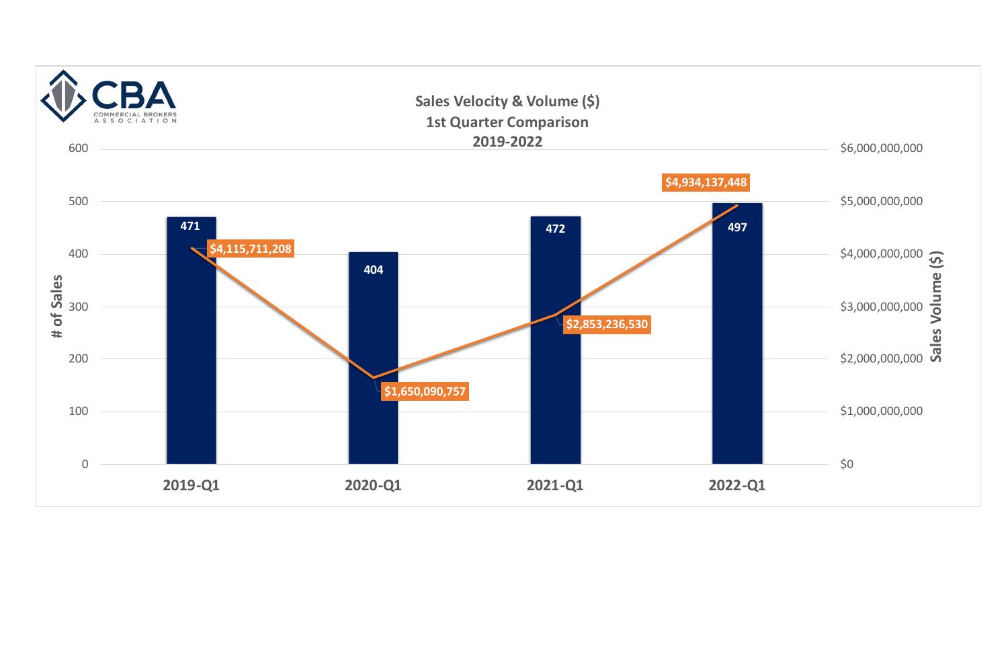|   | \$6,000,000,000 |                   |  |
|---|-----------------|-------------------|--|
| 8 | \$5,000,000,000 |                   |  |
| 7 | \$4,000,000,000 |                   |  |
|   | \$3,000,000,000 | Sales Volume (\$) |  |
|   | \$2,000,000,000 |                   |  |
|   | \$1,000,000,000 |                   |  |
|   | \$0             |                   |  |
|   |                 |                   |  |

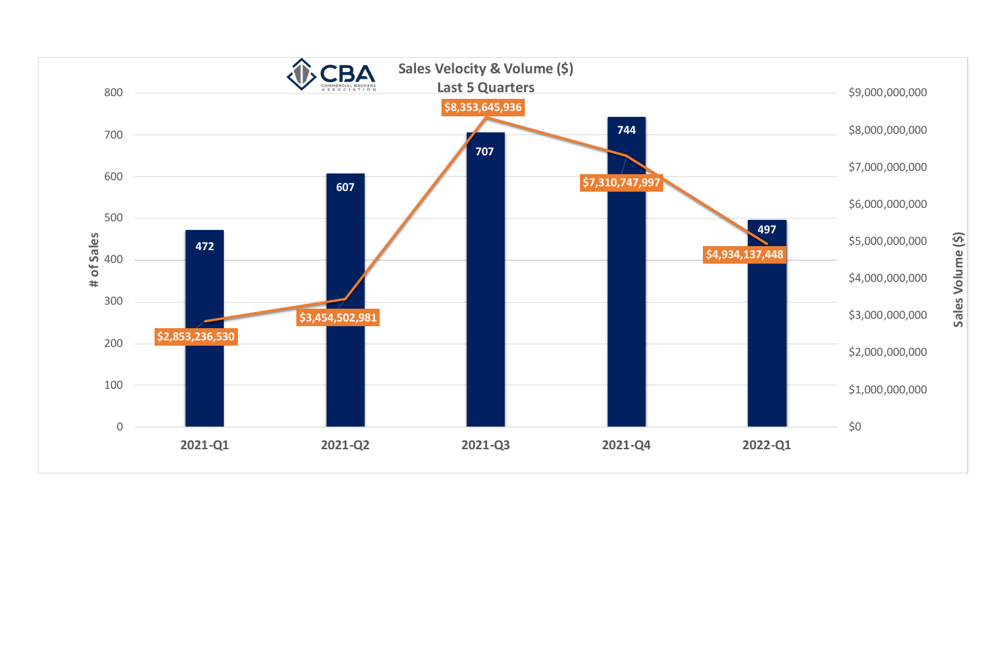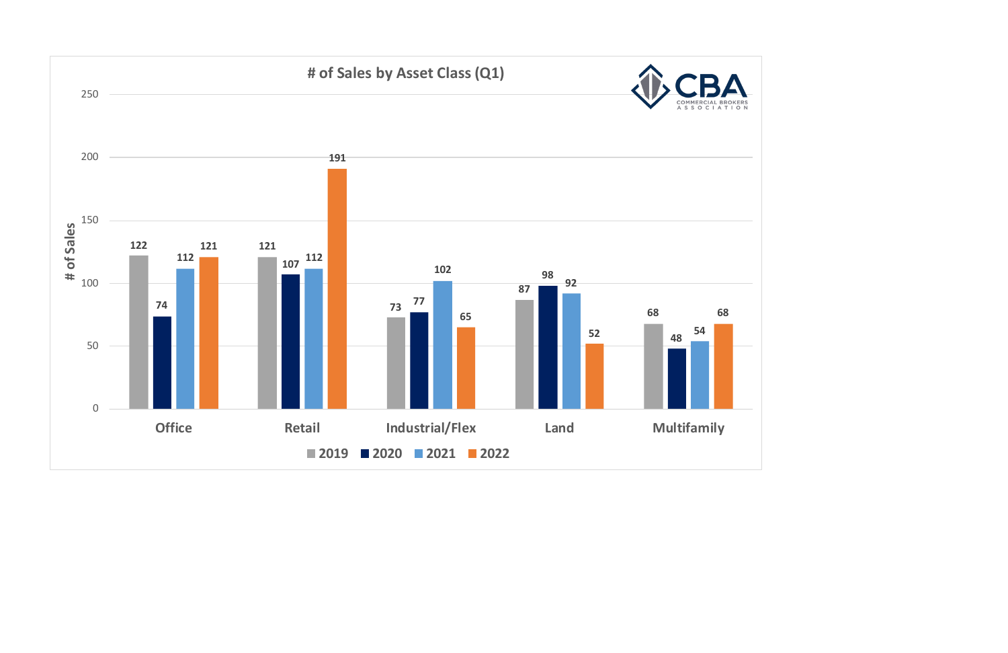

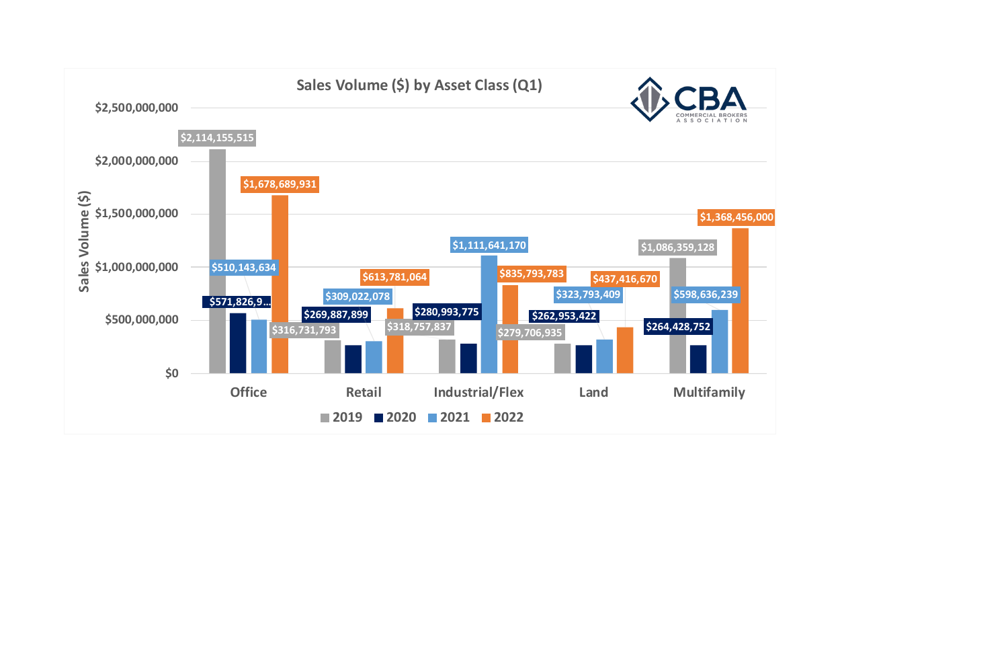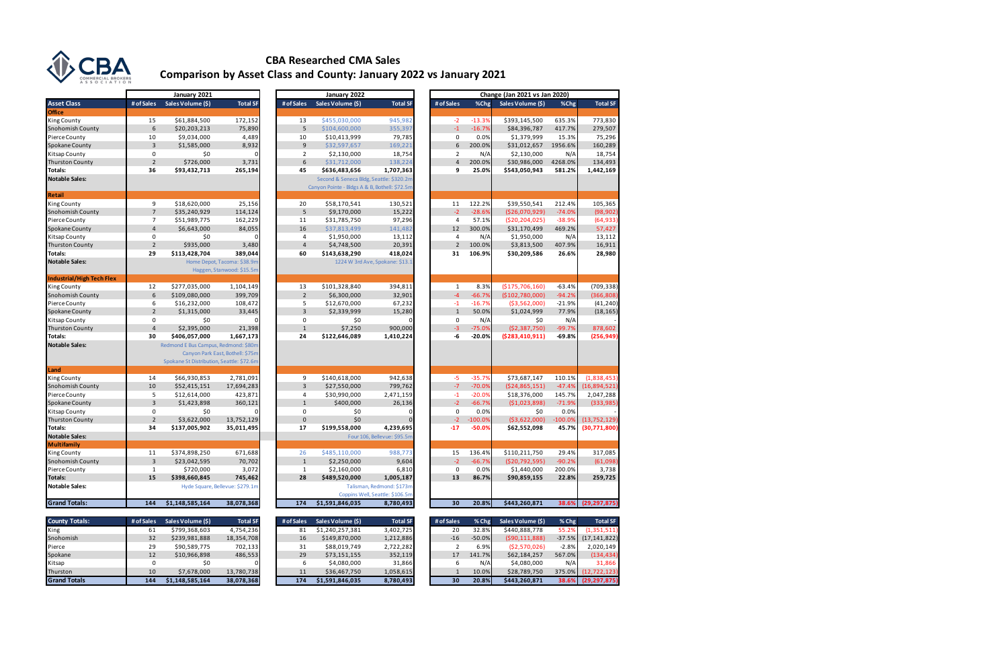|                                  |                 | January 2021                              |                                  |                | January 2022                                  |                                 |                |           | Change (Jan 2021 vs Jan 2020) |           |                                                                                                                              |
|----------------------------------|-----------------|-------------------------------------------|----------------------------------|----------------|-----------------------------------------------|---------------------------------|----------------|-----------|-------------------------------|-----------|------------------------------------------------------------------------------------------------------------------------------|
| <b>Asset Class</b>               | # of Sales      | Sales Volume (\$)                         | <b>Total SF</b>                  | # of Sales     | Sales Volume (\$)                             | <b>Total SF</b>                 | # of Sales     | %Chg      | Sales Volume (\$)             | %Chg      | <b>Total SF</b>                                                                                                              |
| <b>Office</b>                    |                 |                                           |                                  |                |                                               |                                 |                |           |                               |           |                                                                                                                              |
| King County                      | 15              | \$61,884,500                              | 172,152                          | 13             | \$455,030,000                                 | 945,982                         | $-2$           | $-13.3%$  | \$393,145,500                 | 635.3%    | 773,830                                                                                                                      |
| Snohomish County                 | 6               | \$20,203,213                              | 75,890                           | 5              | \$104,600,000                                 | 355,397                         | $-1$           | $-16.7%$  | \$84,396,787                  | 417.7%    | 279,507                                                                                                                      |
| Pierce County                    | 10              | \$9,034,000                               | 4,489                            | 10             | \$10,413,999                                  | 79,785                          | $\mathbf 0$    | 0.0%      | \$1,379,999                   | 15.3%     | 75,296                                                                                                                       |
| Spokane County                   | $\overline{3}$  | \$1,585,000                               | 8,932                            | 9              | \$32,597,657                                  | 169,221                         | 6              | 200.0%    | \$31,012,657                  | 1956.6%   | 160,289                                                                                                                      |
| Kitsap County                    | $\mathbf 0$     | \$0                                       | ſ                                | $\overline{2}$ | \$2,130,000                                   | 18,754                          | $\overline{2}$ | N/A       | \$2,130,000                   | N/A       | 18,754                                                                                                                       |
| <b>Thurston County</b>           | $\overline{2}$  | \$726,000                                 | 3,731                            | 6              | \$31,712,000                                  | 138,224                         | $\overline{4}$ | 200.0%    | \$30,986,000                  | 4268.0%   | 134,493                                                                                                                      |
| Totals:                          | 36              | \$93,432,713                              | 265,194                          | 45             | \$636,483,656                                 | 1,707,363                       | 9              | 25.0%     | \$543,050,943                 | 581.2%    | 1,442,169                                                                                                                    |
| <b>Notable Sales:</b>            |                 |                                           |                                  |                | Second & Seneca Bldg, Seattle: \$320.2m       |                                 |                |           |                               |           |                                                                                                                              |
|                                  |                 |                                           |                                  |                | Canyon Pointe - Bldgs A & B, Bothell: \$72.5m |                                 |                |           |                               |           |                                                                                                                              |
| Retail                           |                 |                                           |                                  |                |                                               |                                 |                |           |                               |           |                                                                                                                              |
| King County                      | 9               | \$18,620,000                              | 25,156                           | 20             | \$58,170,541                                  | 130,521                         | 11             | 122.2%    | \$39,550,541                  | 212.4%    | 105,365                                                                                                                      |
| Snohomish County                 | $7\overline{ }$ | \$35,240,929                              | 114,124                          | 5              | \$9,170,000                                   | 15,222                          | $-2$           | $-28.6%$  | (\$26,070,929)                | $-74.0%$  | (98, 902)                                                                                                                    |
| Pierce County                    | $\overline{7}$  | \$51,989,775                              | 162,229                          | 11             | \$31,785,750                                  | 97,296                          | $\overline{4}$ | 57.1%     | ( \$20, 204, 025)             | $-38.9%$  | (64, 933)                                                                                                                    |
| Spokane County                   | $\overline{4}$  | \$6,643,000                               | 84,055                           | 16             | \$37,813,499                                  | 141,482                         | 12             | 300.0%    | \$31,170,499                  | 469.2%    | 57,427                                                                                                                       |
| Kitsap County                    | $\mathbf 0$     | \$0                                       |                                  | 4              | \$1,950,000                                   | 13,112                          | $\overline{4}$ | N/A       | \$1,950,000                   | N/A       | 13,112                                                                                                                       |
| <b>Thurston County</b>           | $\overline{2}$  | \$935,000                                 | 3,480                            | $\overline{4}$ | \$4,748,500                                   | 20,391                          | $\overline{2}$ | 100.0%    | \$3,813,500                   | 407.9%    | 16,911                                                                                                                       |
| Totals:                          | 29              | \$113,428,704                             | 389,044                          | 60             | \$143,638,290                                 | 418,024                         | 31             | 106.9%    | \$30,209,586                  | 26.6%     | 28,980                                                                                                                       |
| <b>Notable Sales:</b>            |                 |                                           | Home Depot, Tacoma: \$38.9n      |                |                                               | 1224 W 3rd Ave, Spokane: \$13.1 |                |           |                               |           |                                                                                                                              |
|                                  |                 |                                           | Haggen, Stanwood: \$15.5m        |                |                                               |                                 |                |           |                               |           |                                                                                                                              |
| <b>Industrial/High Tech Flex</b> |                 |                                           |                                  |                |                                               |                                 |                |           |                               |           |                                                                                                                              |
| King County                      | 12              | \$277,035,000                             | 1,104,149                        | 13             | \$101,328,840                                 | 394,811                         | 1              | 8.3%      | (S175.706.160)                | $-63.4%$  | (709, 338)                                                                                                                   |
| Snohomish County                 | 6               | \$109,080,000                             | 399,709                          | $\overline{2}$ | \$6,300,000                                   | 32,901                          | $-4$           | $-66.7%$  | ( \$102, 780, 000)            | $-94.2%$  | (366, 808)                                                                                                                   |
| Pierce County                    | 6               | \$16,232,000                              | 108,472                          | 5              | \$12,670,000                                  | 67,232                          | $-1$           | $-16.7%$  | ( \$3,562,000)                | -21.9%    | (41, 240)                                                                                                                    |
| Spokane County                   | $\overline{2}$  | \$1,315,000                               | 33,445                           | $\overline{3}$ | \$2,339,999                                   | 15,280                          | $\mathbf{1}$   | 50.0%     | \$1,024,999                   | 77.9%     | (18, 165)                                                                                                                    |
| Kitsap County                    | 0               | \$0                                       |                                  | $\mathbf 0$    | \$0                                           |                                 | $\mathbf 0$    | N/A       | \$0                           | N/A       |                                                                                                                              |
| <b>Thurston County</b>           | $\overline{4}$  | \$2,395,000                               | 21,398                           | $\mathbf{1}$   | \$7,250                                       | 900,000                         | $-3$           | $-75.0%$  | (52, 387, 750)                | $-99.7%$  | 878,602                                                                                                                      |
| Totals:                          | 30              | \$406,057,000                             | 1,667,173                        | 24             | \$122,646,089                                 | 1,410,224                       | $-6$           | $-20.0%$  | (5283, 410, 911)              | $-69.8%$  | (256,949)                                                                                                                    |
| <b>Notable Sales:</b>            |                 | Redmond E Bus Campus, Redmond: \$80m      |                                  |                |                                               |                                 |                |           |                               |           |                                                                                                                              |
|                                  |                 |                                           | Canyon Park East, Bothell: \$75m |                |                                               |                                 |                |           |                               |           |                                                                                                                              |
|                                  |                 | Spokane St Distribution, Seattle: \$72.6m |                                  |                |                                               |                                 |                |           |                               |           |                                                                                                                              |
| Land                             |                 |                                           |                                  |                |                                               |                                 |                |           |                               |           |                                                                                                                              |
| King County                      | 14              | \$66,930,853                              | 2,781,091                        | 9              | \$140,618,000                                 | 942,638                         | $-5$           | $-35.7%$  | \$73,687,147                  | 110.1%    | (1,838,453)                                                                                                                  |
| Snohomish County                 | 10              | \$52,415,151                              | 17,694,283                       | 3              | \$27,550,000                                  | 799,762                         | $-7$           | $-70.0%$  | (\$24,865,151)                | $-47.4%$  | (16,894,521)                                                                                                                 |
| Pierce County                    | 5               | \$12,614,000                              | 423,871                          | 4              | \$30,990,000                                  | 2,471,159                       | $-1$           | $-20.0%$  | \$18,376,000                  | 145.7%    | 2,047,288                                                                                                                    |
| Spokane County                   | 3               | \$1,423,898                               | 360,121                          | $\mathbf{1}$   | \$400,000                                     | 26,136                          | $-2$           | $-66.7%$  | (51,023,898)                  | $-71.9%$  | (333,985)                                                                                                                    |
| Kitsap County                    | 0               | \$0                                       |                                  | 0              | \$0                                           | ŋ                               | $\mathbf 0$    | 0.0%      | \$0                           | 0.0%      |                                                                                                                              |
| <b>Thurston County</b>           | $\overline{2}$  | \$3,622,000                               | 13,752,129                       | $\Omega$       | \$0                                           |                                 | $-2$           | $-100.0%$ | ( \$3,622,000)                | $-100.0%$ | (13, 752, 129)                                                                                                               |
| Totals:                          | 34              | \$137,005,902                             | 35,011,495                       | 17             | \$199,558,000                                 | 4,239,695                       | $-17$          | $-50.0%$  | \$62,552,098                  | 45.7%     | (30,771,800)                                                                                                                 |
| <b>Notable Sales:</b>            |                 |                                           |                                  |                |                                               | Four 106, Bellevue: \$95.5m     |                |           |                               |           |                                                                                                                              |
| <b>Multifamily</b>               |                 |                                           |                                  |                |                                               |                                 |                |           |                               |           |                                                                                                                              |
| King County                      | 11              | \$374,898,250                             | 671,688                          | 26             | \$485,110,000                                 | 988,773                         | 15             | 136.4%    | \$110,211,750                 | 29.4%     | 317,085                                                                                                                      |
| Snohomish County                 | 3               | \$23,042,595                              | 70,702                           | $\mathbf{1}$   | \$2,250,000                                   | 9,604                           | $-2$           | $-66.7%$  | (\$20,792,595)                | $-90.2%$  | (61,098)                                                                                                                     |
| Pierce County                    | 1               | \$720,000                                 | 3,072                            | 1              | \$2,160,000                                   | 6,810                           | 0              | 0.0%      | \$1,440,000                   | 200.0%    | 3,738                                                                                                                        |
| Totals:                          | 15              | \$398,660,845                             | 745,462                          | 28             | \$489,520,000                                 | 1,005,187                       | 13             | 86.7%     | \$90,859,155                  | 22.8%     | 259,725                                                                                                                      |
| <b>Notable Sales:</b>            |                 |                                           | Hyde Square, Bellevue: \$279.1m  |                |                                               | Talisman, Redmond: \$173m       |                |           |                               |           |                                                                                                                              |
|                                  |                 |                                           |                                  |                |                                               | Coppins Well, Seattle: \$106.5m |                |           |                               |           |                                                                                                                              |
| <b>Grand Totals:</b>             | 144             | \$1,148,585,164                           | 38,078,368                       | 174            | \$1,591,846,035                               | 8,780,493                       | 30             | 20.8%     | \$443,260,871                 | 38.6%     | (29, 297, 875)                                                                                                               |
|                                  |                 |                                           |                                  |                |                                               |                                 |                |           |                               |           |                                                                                                                              |
| <b>County Totals:</b>            | # of Sales      | Sales Volume (\$)                         | <b>Total SF</b>                  | # of Sales     | Sales Volume (\$)                             | <b>Total SF</b>                 | # of Sales     | % Chg     | Sales Volume (\$)             | $%$ Chg   | <b>Total SF</b>                                                                                                              |
| King                             | 61              | \$799,368,603                             | 4,754,236                        | 81             | \$1,240,257,381                               | 3,402,725                       | 20             | 32.8%     | \$440,888,778                 | 55.2%     | (1,351,511)                                                                                                                  |
| Snohomish                        | 32              | \$239,981,888                             | 18,354,708                       | 16             | \$149,870,000                                 | 1,212,886                       | $-16$          | $-50.0%$  | (590, 111, 888)               | $-37.5%$  | (17, 141, 822)                                                                                                               |
| Pierce                           | 29              | \$90,589,775                              | 702,133                          | 31             | \$88,019,749                                  | 2,722,282                       | 2              | 6.9%      | (52,570,026)                  | $-2.8%$   | 2,020,149                                                                                                                    |
| Spokane                          | 12              | \$10,966,898                              | 486,553                          | 29             | \$73,151,155                                  | 352,119                         | 17             | 141.7%    | \$62,184,257                  | 567.0%    | (134, 434)                                                                                                                   |
| Kitsap                           | 0               | \$0                                       | n                                | 6              | \$4,080,000                                   | 31,866                          | 6              | N/A       | \$4,080,000                   | N/A       | 31,866                                                                                                                       |
|                                  |                 | 6752000                                   | 12.700.720                       |                | 426.157750                                    | 0.0001                          |                |           | 620.700.750                   | 27500     | $\begin{array}{c} \n \overline{1} & \overline{1} & \overline{1} & \overline{1} & \overline{1} & \overline{1} \\ \end{array}$ |

|                           |                         | January 2021                              |                                  |                | January 2022                                                                             |                                 |
|---------------------------|-------------------------|-------------------------------------------|----------------------------------|----------------|------------------------------------------------------------------------------------------|---------------------------------|
| <b>Asset Class</b>        | # of Sales              | Sales Volume (\$)                         | <b>Total SF</b>                  | # of Sales     | Sales Volume (\$)                                                                        | <b>Total SF</b>                 |
| <b>Office</b>             |                         |                                           |                                  |                |                                                                                          |                                 |
| <b>King County</b>        | 15                      | \$61,884,500                              | 172,152                          | 13             | \$455,030,000                                                                            | 945,982                         |
| <b>Snohomish County</b>   | 6                       | \$20,203,213                              | 75,890                           | 5              | \$104,600,000                                                                            | 355,397                         |
| Pierce County             | 10                      | \$9,034,000                               | 4,489                            | 10             | \$10,413,999                                                                             | 79,785                          |
| Spokane County            | 3                       | \$1,585,000                               | 8,932                            | 9              | \$32,597,657                                                                             | 169,221                         |
| Kitsap County             | 0                       | \$0                                       | 0                                | $\overline{2}$ | \$2,130,000                                                                              | 18,754                          |
| <b>Thurston County</b>    | $\overline{2}$          | \$726,000                                 | 3,731                            | 6              | \$31,712,000                                                                             | 138,224                         |
| Totals:                   | 36                      | \$93,432,713                              | 265,194                          | 45             | \$636,483,656                                                                            | 1,707,363                       |
| <b>Notable Sales:</b>     |                         |                                           |                                  |                | Second & Seneca Bldg, Seattle: \$320.2m<br>Canyon Pointe - Bldgs A & B, Bothell: \$72.5m |                                 |
| <b>Retail</b>             |                         |                                           |                                  |                |                                                                                          |                                 |
| <b>King County</b>        | 9                       | \$18,620,000                              | 25,156                           | 20             | \$58,170,541                                                                             | 130,521                         |
| <b>Snohomish County</b>   | $\overline{7}$          | \$35,240,929                              | 114,124                          | 5              | \$9,170,000                                                                              | 15,222                          |
| Pierce County             | $\overline{7}$          | \$51,989,775                              | 162,229                          | 11             | \$31,785,750                                                                             | 97,296                          |
| Spokane County            | $\overline{\mathbf{4}}$ | \$6,643,000                               | 84,055                           | 16             | \$37,813,499                                                                             | 141,482                         |
| <b>Kitsap County</b>      | 0                       | \$0                                       | 0                                | 4              | \$1,950,000                                                                              | 13,112                          |
| <b>Thurston County</b>    | $\overline{2}$          | \$935,000                                 | 3,480                            | $\overline{4}$ | \$4,748,500                                                                              | 20,391                          |
| Totals:                   | 29                      | \$113,428,704                             | 389,044                          | 60             | \$143,638,290                                                                            | 418,024                         |
| <b>Notable Sales:</b>     |                         |                                           | Home Depot, Tacoma: \$38.9m      |                |                                                                                          | 1224 W 3rd Ave, Spokane: \$13.1 |
|                           |                         |                                           | Haggen, Stanwood: \$15.5m        |                |                                                                                          |                                 |
| Industrial/High Tech Flex |                         |                                           |                                  |                |                                                                                          |                                 |
| <b>King County</b>        | 12                      | \$277,035,000                             | 1,104,149                        | 13             | \$101,328,840                                                                            | 394,811                         |
| Snohomish County          | 6                       | \$109,080,000                             | 399,709                          | $\overline{2}$ | \$6,300,000                                                                              | 32,901                          |
| Pierce County             | 6                       | \$16,232,000                              | 108,472                          | 5              | \$12,670,000                                                                             | 67,232                          |
| Spokane County            | $\overline{2}$          | \$1,315,000                               | 33,445                           | $\overline{3}$ | \$2,339,999                                                                              | 15,280                          |
| Kitsap County             | 0                       | \$0                                       | 0                                | $\mathbf 0$    | \$0                                                                                      | 0                               |
| <b>Thurston County</b>    | $\overline{\mathbf{4}}$ | \$2,395,000                               | 21,398                           | $\mathbf{1}$   | \$7,250                                                                                  | 900,000                         |
| Totals:                   | 30                      | \$406,057,000                             | 1,667,173                        | 24             | \$122,646,089                                                                            | 1,410,224                       |
| <b>Notable Sales:</b>     |                         | Redmond E Bus Campus, Redmond: \$80m      |                                  |                |                                                                                          |                                 |
|                           |                         |                                           | Canyon Park East, Bothell: \$75m |                |                                                                                          |                                 |
|                           |                         | Spokane St Distribution, Seattle: \$72.6m |                                  |                |                                                                                          |                                 |
| Land                      |                         |                                           |                                  |                |                                                                                          |                                 |
| <b>King County</b>        | 14                      | \$66,930,853                              | 2,781,091                        | 9              | \$140,618,000                                                                            | 942,638                         |
| <b>Snohomish County</b>   | 10                      | \$52,415,151                              | 17,694,283                       | 3              | \$27,550,000                                                                             | 799,762                         |
| Pierce County             | 5                       | \$12,614,000                              | 423,871                          | 4              | \$30,990,000                                                                             | 2,471,159                       |
| Spokane County            | 3                       | \$1,423,898                               | 360,121                          | $\mathbf{1}$   | \$400,000                                                                                | 26,136                          |
| <b>Kitsap County</b>      | 0                       | \$0                                       |                                  | 0              | \$0                                                                                      | 0                               |
| <b>Thurston County</b>    | $\overline{2}$          | \$3,622,000                               | 13,752,129                       | $\mathbf{0}$   | \$0                                                                                      | $\mathbf 0$                     |
| Totals:                   | 34                      | \$137,005,902                             | 35,011,495                       | 17             | \$199,558,000                                                                            | 4,239,695                       |
| <b>Notable Sales:</b>     |                         |                                           |                                  |                |                                                                                          | Four 106, Bellevue: \$95.5m     |
| Multifamily               |                         |                                           |                                  |                |                                                                                          |                                 |
| <b>King County</b>        | 11                      | \$374,898,250                             | 671,688                          | 26             | \$485,110,000                                                                            | 988,773                         |
| Snohomish County          | 3                       | \$23,042,595                              | 70,702                           | 1              | \$2,250,000                                                                              | 9,604                           |
| Pierce County             | 1                       | \$720,000                                 | 3,072                            | 1              | \$2,160,000                                                                              | 6,810                           |
| Totals:                   | 15                      | \$398,660,845                             | 745,462                          | 28             | \$489,520,000                                                                            | 1,005,187                       |
| <b>Notable Sales:</b>     |                         |                                           | Hyde Square, Bellevue: \$279.1m  |                |                                                                                          | Talisman, Redmond: \$173m       |
|                           |                         |                                           |                                  |                |                                                                                          | Coppins Well, Seattle: \$106.5m |
| <b>Grand Totals:</b>      | 144                     | \$1,148,585,164                           | 38,078,368                       | 174            | \$1,591,846,035                                                                          | 8,780,493                       |
| <b>County Totals:</b>     | # of Sales              | Sales Volume (\$)                         | <b>Total SF</b>                  | # of Sales     | Sales Volume (\$)                                                                        | <b>Total SF</b>                 |
|                           |                         |                                           |                                  |                |                                                                                          |                                 |

| <b>County Totals:</b> | # of Sales | <b>Sales Volume (\$)</b> | <b>Total SF</b> | # of Sales | <b>Sales Volume (\$)</b> | <b>Total SF</b> | # of Sales | $%$ Chg   | <b>Sales Volume (\$)</b> | $%$ Chg  | <b>Total SF</b> |
|-----------------------|------------|--------------------------|-----------------|------------|--------------------------|-----------------|------------|-----------|--------------------------|----------|-----------------|
| King                  |            | \$799.368.603            | 4,754,236       | 81         | \$1,240,257,381          | 3,402,725       | 20         | 32.8%     | \$440.888.778            | 55.2%    | (1, 351, 511)   |
| Snohomish             | 32         | \$239,981,888            | 18,354,708      | 16.        | \$149,870,000            | 1,212,886       | -16        | $-50.0\%$ | (590, 111, 888)          | $-37.5%$ | (17, 141, 822)  |
| Pierce                | 29         | \$90,589,775             | 702,133         | 31         | \$88,019,749             | 2,722,282       |            | 6.9%      | (52,570,026)             | $-2.8%$  | 2,020,149       |
| Spokane               |            | \$10,966,898             | 486,553         | 29         | \$73,151,155             | 352,119         |            | 141.7%    | \$62,184,257             | 567.0%   | (134, 434)      |
| Kitsap                |            |                          |                 |            | \$4,080,000              | 31,866          |            | N/A       | \$4,080,000              | N/A      | 31.866          |
| Thurston              | 10         | \$7,678,000              | 13,780,738      |            | \$36,467,750             | 1,058,615       |            | 10.0%     | \$28,789,750             | 375.0%   | (12, 722, 123)  |
| <b>Grand Totals</b>   | 144        | \$1,148,585,164          | 38,078,368      | 174        | \$1,591,846,035          | 8,780,493       | 30         | 20.8%     | \$443,260,871            | 38.6%    | (29, 297, 875)  |



### **CBA Researched CMA Sales Comparison by Asset Class and County: January 2022 vs January 2021**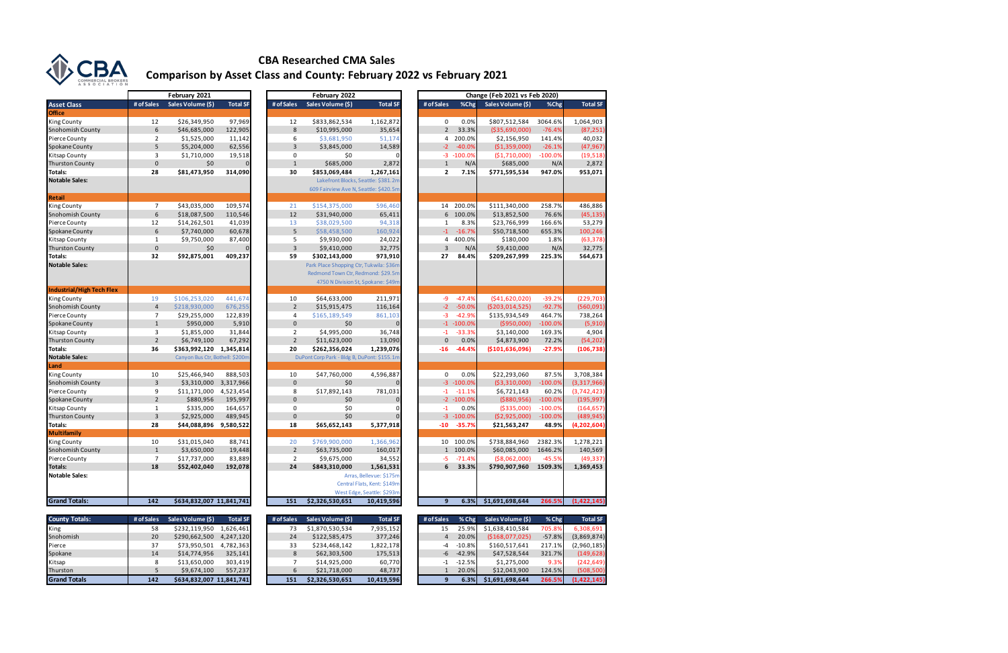|                                  |                | February 2021                   |                 |                | February 2022                               |                             | Change (Feb 2021 vs Feb 2020) |                         |                       |                |                 |  |  |
|----------------------------------|----------------|---------------------------------|-----------------|----------------|---------------------------------------------|-----------------------------|-------------------------------|-------------------------|-----------------------|----------------|-----------------|--|--|
| <b>Asset Class</b>               | # of Sales     | Sales Volume (\$)               | <b>Total SF</b> | # of Sales     | Sales Volume (\$)                           | <b>Total SF</b>             | # of Sales                    | %Chg                    | Sales Volume (\$)     | %Chg           | <b>Total SF</b> |  |  |
| <b>Office</b>                    |                |                                 |                 |                |                                             |                             |                               |                         |                       |                |                 |  |  |
| King County                      | 12             | \$26,349,950                    | 97,969          | 12             | \$833,862,534                               | 1,162,872                   |                               | 0<br>0.0%               | \$807,512,584         | 3064.6%        | 1,064,903       |  |  |
| <b>Snohomish County</b>          | 6              | \$46,685,000                    | 122,905         | 8              | \$10,995,000                                | 35,654                      |                               | $\overline{2}$<br>33.3% | ( \$35,690,000)       | $-76.4%$       | (87, 251)       |  |  |
| Pierce County                    | $\overline{2}$ | \$1,525,000                     | 11,142          | 6              | \$3,681,950                                 | 51,174                      |                               | 200.0%<br>4             | \$2,156,950           | 141.4%         | 40,032          |  |  |
| Spokane County                   | 5              | \$5,204,000                     | 62,556          | 3              | \$3,845,000                                 | 14,589                      | $-2$                          | $-40.0%$                | (\$1,359,000)         | $-26.1%$       | (47, 967)       |  |  |
| Kitsap County                    | 3              | \$1,710,000                     | 19,518          | 0              | \$0                                         |                             | $-3$                          | $-100.0%$               | (51,710,000)          | $-100.0%$      | (19, 518)       |  |  |
| <b>Thurston County</b>           | 0              | \$0                             |                 | $\mathbf{1}$   | \$685,000                                   | 2,872                       |                               | $\mathbf{1}$<br>N/A     | \$685,000             | N/A            | 2,872           |  |  |
| Totals:                          | 28             | \$81,473,950                    | 314,090         | 30             | \$853,069,484                               | 1,267,161                   |                               | $\overline{2}$<br>7.1%  | \$771,595,534         | 947.0%         | 953,071         |  |  |
| <b>Notable Sales:</b>            |                |                                 |                 |                | Lakefront Blocks, Seattle: \$381.2m         |                             |                               |                         |                       |                |                 |  |  |
|                                  |                |                                 |                 |                | 609 Fairview Ave N, Seattle: \$420.5m       |                             |                               |                         |                       |                |                 |  |  |
| <b>Retail</b>                    |                |                                 |                 |                |                                             |                             |                               |                         |                       |                |                 |  |  |
| <b>King County</b>               | $\overline{7}$ | \$43,035,000                    | 109,574         | 21             | \$154,375,000                               | 596,460                     | 14                            | 200.0%                  | \$111,340,000         | 258.7%         | 486,886         |  |  |
| <b>Snohomish County</b>          | 6              | \$18,087,500                    | 110,546         | 12             | \$31,940,000                                | 65,411                      |                               | 6<br>100.0%             | \$13,852,500          | 76.6%          | (45, 135)       |  |  |
| Pierce County                    | 12             | \$14,262,501                    | 41,039          | 13             | \$38,029,500                                | 94,318                      | 1                             | 8.3%                    | \$23,766,999          | 166.6%         | 53,279          |  |  |
| Spokane County                   | 6              | \$7,740,000                     | 60,678          | 5              | \$58,458,500                                | 160,924                     | $-1$                          | $-16.7%$                | \$50,718,500          | 655.3%         | 100,246         |  |  |
| Kitsap County                    | $\mathbf{1}$   | \$9,750,000                     | 87,400          | 5              | \$9,930,000                                 | 24,022                      |                               | 4<br>400.0%             | \$180,000             | 1.8%           | (63, 378)       |  |  |
| <b>Thurston County</b>           | $\mathbf 0$    | \$0                             |                 | 3              | \$9,410,000                                 | 32,775                      |                               | 3<br>N/A                | \$9,410,000           | N/A            | 32,775          |  |  |
| Totals:                          | 32             | \$92,875,001                    | 409,237         | 59             | \$302,143,000                               | 973,910                     | 27                            | 84.4%                   | \$209,267,999         | 225.3%         | 564,673         |  |  |
| <b>Notable Sales:</b>            |                |                                 |                 |                | Park Place Shopping Ctr, Tukwila: \$36m     |                             |                               |                         |                       |                |                 |  |  |
|                                  |                |                                 |                 |                | Redmond Town Ctr, Redmond: \$29.5m          |                             |                               |                         |                       |                |                 |  |  |
|                                  |                |                                 |                 |                | 4750 N Division St, Spokane: \$49m          |                             |                               |                         |                       |                |                 |  |  |
| <b>Industrial/High Tech Flex</b> |                |                                 |                 |                |                                             |                             |                               |                         |                       |                |                 |  |  |
| King County                      | 19             | \$106,253,020                   | 441,674         | 10             | \$64,633,000                                | 211,971                     | -9                            | $-47.4%$                | ( \$41,620,020 ]      | $-39.2%$       | (229, 703)      |  |  |
| <b>Snohomish County</b>          | $\overline{4}$ | \$218,930,000                   | 676,255         | $\overline{2}$ | \$15,915,475                                | 116,164                     | $-2$                          | $-50.0%$                | (\$203,014,525)       | $-92.7%$       | (560, 091)      |  |  |
| Pierce County                    | $\overline{7}$ | \$29,255,000                    | 122,839         | 4              | \$165,189,549                               | 861,103                     | $-3$                          | $-42.9%$                | \$135,934,549         | 464.7%         | 738,264         |  |  |
| Spokane County                   | $\mathbf{1}$   | \$950,000                       | 5,910           | $\mathbf{0}$   | \$0                                         | $\Omega$                    |                               | $-1 - 100.0\%$          | (\$950,000)           | $-100.0%$      | (5, 910)        |  |  |
| Kitsap County                    | 3              | \$1,855,000                     | 31,844          | $\overline{2}$ | \$4,995,000                                 | 36,748                      | $-1$                          | $-33.3%$                | \$3,140,000           | 169.3%         | 4,904           |  |  |
| <b>Thurston County</b>           | $\overline{2}$ | \$6,749,100                     | 67,292          | $\overline{2}$ | \$11,623,000                                | 13,090                      |                               | $\mathbf{0}$<br>0.0%    | \$4,873,900           | 72.2%          | (54, 202)       |  |  |
| Totals:                          | 36             | \$363,992,120                   | 1,345,814       | 20             | \$262,356,024                               | 1,239,076                   | $-16$                         | $-44.4%$                | ( \$101, 636, 096)    | $-27.9%$       | (106, 738)      |  |  |
| <b>Notable Sales:</b>            |                | Canyon Bus Ctr, Bothell: \$200m |                 |                | DuPont Corp Park - Bldg B, DuPont: \$155.1m |                             |                               |                         |                       |                |                 |  |  |
| Land                             |                |                                 |                 |                |                                             |                             |                               |                         |                       |                |                 |  |  |
| King County                      | 10             | \$25,466,940                    | 888,503         | 10             | \$47,760,000                                | 4,596,887                   |                               | 0<br>0.0%               | \$22,293,060          | 87.5%          | 3,708,384       |  |  |
| <b>Snohomish County</b>          | 3              | \$3,310,000                     | 3,317,966       | $\mathbf 0$    | \$0                                         |                             |                               | $-3 - 100.0%$           | ( \$3,310,000)        | $-100.0%$      | (3,317,966)     |  |  |
| Pierce County                    | 9              | \$11,171,000                    | 4,523,454       | 8              | \$17,892,143                                | 781,031                     | $-1$                          | $-11.1%$                | \$6,721,143           | 60.2%          | (3,742,423)     |  |  |
| Spokane County                   | $\overline{2}$ | \$880,956                       | 195,997         | $\mathbf 0$    | \$0                                         | 0                           |                               | $-2 - 100.0\%$          | ( \$880, 956)         | $-100.0%$      | (195, 997)      |  |  |
| Kitsap County                    | $\mathbf{1}$   | \$335,000                       | 164,657         | 0              | \$0                                         | O                           | $-1$                          | 0.0%                    | ( \$335,000)          | $-100.0%$      | (164, 657)      |  |  |
| <b>Thurston County</b>           | $\overline{3}$ | \$2,925,000                     | 489,945         | $\mathbf 0$    | \$0                                         |                             |                               | $-3 - 100.0%$           | (\$2,925,000)         | $-100.0%$      | (489, 945)      |  |  |
| Totals:                          | 28             | \$44,088,896                    | 9,580,522       | 18             | \$65,652,143                                | 5,377,918                   | $-10$                         | $-35.7%$                | \$21,563,247          | 48.9%          | (4, 202, 604)   |  |  |
| <b>Multifamily</b>               |                |                                 |                 |                |                                             |                             |                               |                         |                       |                |                 |  |  |
| King County                      | 10             | \$31,015,040                    | 88,741          | 20             | \$769,900,000                               | 1,366,962                   | 10                            | 100.0%                  | \$738,884,960         | 2382.3%        | 1,278,221       |  |  |
| Snohomish County                 | $\mathbf{1}$   | \$3,650,000                     | 19,448          | $\overline{2}$ | \$63,735,000                                | 160,017                     |                               | $\mathbf{1}$<br>100.0%  | \$60,085,000          | 1646.2%        | 140,569         |  |  |
| Pierce County                    | $\overline{7}$ | \$17,737,000                    | 83,889          | 2              | \$9,675,000                                 | 34,552                      | $-5$                          | $-71.4%$                | ( \$8,062,000)        | $-45.5%$       | (49, 337)       |  |  |
| Totals:                          | 18             | \$52,402,040                    | 192,078         | 24             | \$843,310,000                               | 1,561,531                   |                               | $6$ 33.3%               | \$790,907,960 1509.3% |                | 1,369,453       |  |  |
| <b>Notable Sales:</b>            |                |                                 |                 |                |                                             | Arras, Bellevue: \$175m     |                               |                         |                       |                |                 |  |  |
|                                  |                |                                 |                 |                |                                             | Central Flats, Kent: \$149m |                               |                         |                       |                |                 |  |  |
|                                  |                |                                 |                 |                |                                             | West Edge, Seattle: \$293m  |                               |                         |                       |                |                 |  |  |
| <b>Grand Totals:</b>             | 142            | \$634,832,007 11,841,741        |                 | 151            | \$2,326,530,651                             | 10,419,596                  |                               | 6.3%<br>9               | \$1,691,698,644       | 266.5%         | (1,422,145)     |  |  |
|                                  |                |                                 |                 |                |                                             |                             |                               |                         |                       |                |                 |  |  |
| <b>County Totals:</b>            | # of Sales     | Sales Volume (\$)               | <b>Total SF</b> | # of Sales     | Sales Volume (\$)                           | <b>Total SF</b>             | # of Sales                    | $%$ Chg                 | Sales Volume (\$)     | % Chg          | <b>Total SF</b> |  |  |
| $_{kin\sigma}$                   | EQ             | $6222110050$ $1626161$          |                 | 72             | 61970520521                                 | $7025152$                   | 15                            |                         | $2E00$ $61620110501$  | <b>705 004</b> | 6.208601        |  |  |

|                | February 2022                               |                             |
|----------------|---------------------------------------------|-----------------------------|
| of Sales       | Sales Volume (\$)                           | <b>Total SF</b>             |
|                |                                             |                             |
| 12             | \$833,862,534                               | 1,162,872                   |
| 8              | \$10,995,000                                | 35,654                      |
| 6              | \$3,681,950                                 | 51,174                      |
| 3              | \$3,845,000                                 | 14,589                      |
| 0              | \$0                                         | 0                           |
| $\mathbf{1}$   | \$685,000                                   | 2,872                       |
| 30             | \$853,069,484                               | 1,267,161                   |
|                | Lakefront Blocks, Seattle: \$381.2m         |                             |
|                | 609 Fairview Ave N, Seattle: \$420.5m       |                             |
|                |                                             |                             |
| 21             | \$154,375,000                               | 596,460                     |
| 12             | \$31,940,000                                | 65,411                      |
| 13             | \$38,029,500                                | 94,318                      |
| 5              | \$58,458,500                                | 160,924                     |
| 5              | \$9,930,000                                 | 24,022                      |
| 3              | \$9,410,000                                 | 32,775                      |
| 59             | \$302,143,000                               | 973,910                     |
|                | Park Place Shopping Ctr, Tukwila: \$36m     |                             |
|                | Redmond Town Ctr, Redmond: \$29.5m          |                             |
|                | 4750 N Division St, Spokane: \$49m          |                             |
|                |                                             |                             |
| 10             | \$64,633,000                                | 211,971                     |
| $\overline{2}$ | \$15,915,475                                | 116,164                     |
| 4              | \$165,189,549                               | 861,103                     |
| $\pmb{0}$      | \$0                                         | 0                           |
| 2              | \$4,995,000                                 | 36,748                      |
| $\overline{2}$ |                                             |                             |
|                | \$11,623,000                                | 13,090                      |
| 20             | \$262,356,024                               | 1,239,076                   |
|                | DuPont Corp Park - Bldg B, DuPont: \$155.1m |                             |
|                |                                             |                             |
| 10             | \$47,760,000                                | 4,596,887                   |
| 0              | \$0                                         | 0                           |
| 8              | \$17,892,143                                | 781,031                     |
| 0              | \$0                                         | 0                           |
| 0              | \$0                                         | 0                           |
| 0              | \$0                                         | 0                           |
| 18             | \$65,652,143                                | 5,377,918                   |
|                |                                             |                             |
| 20             | \$769,900,000                               | 1,366,962                   |
| $\overline{2}$ | \$63,735,000                                | 160,017                     |
| 2              | \$9,675,000                                 | 34,552                      |
| 24             | \$843,310,000                               | 1,561,531                   |
|                |                                             | Arras, Bellevue: \$175m     |
|                |                                             | Central Flats, Kent: \$149m |
|                |                                             | West Edge, Seattle: \$293m  |
| 151            | \$2,326,530,651                             | 10,419,596                  |
|                |                                             |                             |
| of Sales       | Sales Volume (\$)                           | <b>Total SF</b>             |
| 73             | \$1,870,530,534                             | 7,935,152                   |
| 24             | \$122,585,475                               | 377,246                     |
|                |                                             |                             |
| 33             | \$234,468,142                               | 1,822,178                   |
| 8              | \$62,303,500                                | 175,513                     |

| County Totals:      | # of Sales | Sales Volume (\$)        | <b>Total SF</b> | # of Sales | Sales Volume (S) | Total SF   | # of Sales |          | % Chg Sales Volume (\$) | $%$ Chg  | Total SF    |
|---------------------|------------|--------------------------|-----------------|------------|------------------|------------|------------|----------|-------------------------|----------|-------------|
| King                | 58         | \$232,119,950            | 1,626,461       |            | \$1,870,530,534  | 7,935,152  |            | 25.9%    | \$1,638,410,584         | 705.8%   | 6,308,691   |
| Snohomish           | 20         | \$290,662,500            | 4,247,120       | 24         | \$122,585,475    | 377,246    |            | 20.0%    | (S168, 077, 025)        | $-57.8%$ | (3,869,874) |
| Pierce              | 37         | \$73,950,501             | 4,782,363       | 33         | \$234,468,142    | 1,822,178  |            | $-10.8%$ | \$160,517,641           | 217.1%   | (2,960,185) |
| Spokane             | 14         | \$14,774,956             | 325,141         |            | \$62,303,500     | 175,513    | -6         | $-42.9%$ | \$47,528,544            | 321.7%   | (149, 628)  |
| Kitsap              |            | \$13.650.000             | 303.419         |            | \$14,925,000     | 60,770     |            | -12.5%   | \$1.275.000             | 9.3%     | (242, 649)  |
| Thurston            |            | \$9.674.100              | 557.237         |            | \$21,718,000     | 48,737     |            | 20.0%    | \$12,043,900            | 124.5%   | (508, 500)  |
| <b>Grand Totals</b> | 142        | \$634,832,007 11,841,741 |                 | 151        | \$2,326,530,651  | 10,419,596 |            | 6.3%     | \$1,691,698,644         | 266.5%   | (1,422,145) |



### **CBA Researched CMA Sales Comparison by Asset Class and County: February 2022 vs February 2021**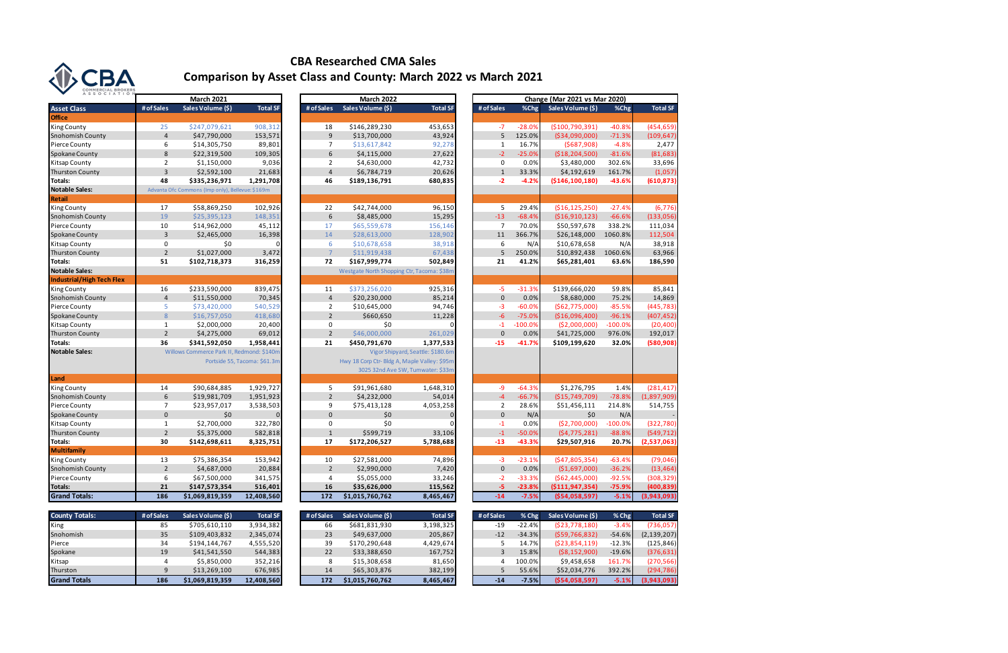|                           |                  | <b>March 2021</b>                                |                              |                | <b>March 2022</b>                            |                                   |                |           | <b>Change (Mar 2021 vs Mar 2020)</b> |            |                 |
|---------------------------|------------------|--------------------------------------------------|------------------------------|----------------|----------------------------------------------|-----------------------------------|----------------|-----------|--------------------------------------|------------|-----------------|
| <b>Asset Class</b>        | # of Sales       | Sales Volume (\$)                                | <b>Total SF</b>              | # of Sales     | Sales Volume (\$)                            | <b>Total SF</b>                   | # of Sales     | %Chg      | Sales Volume (\$)                    | %Chg       | <b>Total SF</b> |
| <b>Office</b>             |                  |                                                  |                              |                |                                              |                                   |                |           |                                      |            |                 |
| <b>King County</b>        | 25               | \$247,079,621                                    | 908,312                      | 18             | \$146,289,230                                | 453,653                           | $-7$           | $-28.0%$  | (\$100,790,391)                      | $-40.8%$   | (454, 659)      |
| <b>Snohomish County</b>   | $\overline{4}$   | \$47,790,000                                     | 153,571                      | 9              | \$13,700,000                                 | 43,924                            | 5              | 125.0%    | ( \$34,090,000)                      | $-71.3%$   | (109, 647)      |
| <b>Pierce County</b>      | 6                | \$14,305,750                                     | 89,801                       | $\overline{7}$ | \$13,617,842                                 | 92,278                            | $\mathbf{1}$   | 16.7%     | (5687,908)                           | $-4.8%$    | 2,477           |
| <b>Spokane County</b>     | 8                | \$22,319,500                                     | 109,305                      | 6              | \$4,115,000                                  | 27,622                            | $-2$           | $-25.0%$  | ( \$18, 204, 500)                    | $-81.6%$   | (81, 683)       |
| <b>Kitsap County</b>      | $\overline{2}$   | \$1,150,000                                      | 9,036                        | $\overline{2}$ | \$4,630,000                                  | 42,732                            | $\mathsf 0$    | 0.0%      | \$3,480,000                          | 302.6%     | 33,696          |
| <b>Thurston County</b>    | $\overline{3}$   | \$2,592,100                                      | 21,683                       | $\overline{4}$ | \$6,784,719                                  | 20,626                            | $1\,$          | 33.3%     | \$4,192,619                          | 161.7%     | (1,057)         |
| Totals:                   | 48               | \$335,236,971                                    | 1,291,708                    | 46             | \$189,136,791                                | 680,835                           | $-2$           | $-4.2%$   | ( \$146, 100, 180)                   | -43.6%     | (610, 873)      |
| <b>Notable Sales:</b>     |                  | Advanta Ofc Commons (Imp only), Bellevue: \$169m |                              |                |                                              |                                   |                |           |                                      |            |                 |
| Retail                    |                  |                                                  |                              |                |                                              |                                   |                |           |                                      |            |                 |
| <b>King County</b>        | 17               | \$58,869,250                                     | 102,926                      | 22             | \$42,744,000                                 | 96,150                            | 5              | 29.4%     | ( \$16, 125, 250)                    | $-27.4%$   | (6, 776)        |
| <b>Snohomish County</b>   | 19               | \$25,395,123                                     | 148,351                      | $\sqrt{6}$     | \$8,485,000                                  | 15,295                            | $-13$          | $-68.4%$  | ( \$16, 910, 123)                    | $-66.6%$   | (133,056)       |
| Pierce County             | 10               | \$14,962,000                                     | 45,112                       | 17             | \$65,559,678                                 | 156,146                           | $\overline{7}$ | 70.0%     | \$50,597,678                         | 338.2%     | 111,034         |
| Spokane County            | $\overline{3}$   | \$2,465,000                                      | 16,398                       | 14             | \$28,613,000                                 | 128,902                           | 11             | 366.7%    | \$26,148,000                         | 1060.8%    | 112,504         |
| <b>Kitsap County</b>      | 0                | \$0                                              | $\Omega$                     | 6              | \$10,678,658                                 | 38,918                            | 6              | N/A       | \$10,678,658                         | N/A        | 38,918          |
| <b>Thurston County</b>    | $\overline{2}$   | \$1,027,000                                      | 3,472                        | $\overline{7}$ | \$11,919,438                                 | 67,438                            | 5              | 250.0%    | \$10,892,438                         | 1060.6%    | 63,966          |
| Totals:                   | 51               | \$102,718,373                                    | 316,259                      | 72             | \$167,999,774                                | 502,849                           | 21             | 41.2%     | \$65,281,401                         | 63.6%      | 186,590         |
| <b>Notable Sales:</b>     |                  |                                                  |                              |                | Westgate North Shopping Ctr, Tacoma: \$38n   |                                   |                |           |                                      |            |                 |
| Industrial/High Tech Flex |                  |                                                  |                              |                |                                              |                                   |                |           |                                      |            |                 |
| <b>King County</b>        | 16               | \$233,590,000                                    | 839,475                      | 11             | \$373,256,020                                | 925,316                           | $-5$           | $-31.3%$  | \$139,666,020                        | 59.8%      | 85,841          |
| <b>Snohomish County</b>   | $\overline{4}$   | \$11,550,000                                     | 70,345                       | $\overline{4}$ | \$20,230,000                                 | 85,214                            | $\mathbf 0$    | 0.0%      | \$8,680,000                          | 75.2%      | 14,869          |
| <b>Pierce County</b>      | 5                | \$73,420,000                                     | 540,529                      | $\overline{2}$ | \$10,645,000                                 | 94,746                            | $-3$           | $-60.0%$  | (562, 775, 000)                      | $-85.5%$   | (445, 783)      |
| <b>Spokane County</b>     | $\,8\,$          | \$16,757,050                                     | 418,680                      | $\overline{2}$ | \$660,650                                    | 11,228                            | $-6$           | $-75.0%$  | (\$16,096,400)                       | $-96.1%$   | (407, 452)      |
| <b>Kitsap County</b>      | $\mathbf{1}$     | \$2,000,000                                      | 20,400                       | 0              | \$0                                          |                                   | $-1$           | $-100.0%$ | ( \$2,000,000)                       | $-100.0\%$ | (20, 400)       |
| <b>Thurston County</b>    | $\overline{2}$   | \$4,275,000                                      | 69,012                       | $\overline{2}$ | \$46,000,000                                 | 261,029                           | $\mathbf 0$    | 0.0%      | \$41,725,000                         | 976.0%     | 192,017         |
| Totals:                   | 36               | \$341,592,050                                    | 1,958,441                    | 21             | \$450,791,670                                | 1,377,533                         | $-15$          | $-41.7%$  | \$109,199,620                        | 32.0%      | (580, 908)      |
| <b>Notable Sales:</b>     |                  | Willows Commerce Park II, Redmond: \$140m        |                              |                |                                              | Vigor Shipyard, Seattle: \$180.6m |                |           |                                      |            |                 |
|                           |                  |                                                  | Portside 55, Tacoma: \$61.3m |                | Hwy 18 Corp Ctr- Bldg A, Maple Valley: \$95m |                                   |                |           |                                      |            |                 |
|                           |                  |                                                  |                              |                |                                              | 3025 32nd Ave SW, Tumwater: \$33m |                |           |                                      |            |                 |
| Land                      |                  |                                                  |                              |                |                                              |                                   |                |           |                                      |            |                 |
| <b>King County</b>        | 14               | \$90,684,885                                     | 1,929,727                    | 5              | \$91,961,680                                 | 1,648,310                         | $-9$           | $-64.3%$  | \$1,276,795                          | 1.4%       | (281, 417)      |
| <b>Snohomish County</b>   | $\boldsymbol{6}$ | \$19,981,709                                     | 1,951,923                    | $\overline{2}$ | \$4,232,000                                  | 54,014                            | $-4$           | $-66.7%$  | (\$15,749,709)                       | $-78.8%$   | (1,897,909)     |
| Pierce County             | $\overline{7}$   | \$23,957,017                                     | 3,538,503                    | 9              | \$75,413,128                                 | 4,053,258                         | $\overline{2}$ | 28.6%     | \$51,456,111                         | 214.8%     | 514,755         |
| Spokane County            | $\mathbf 0$      | \$0                                              |                              | $\mathbf{0}$   | \$0                                          | $\mathbf{0}$                      | $\mathbf 0$    | N/A       | \$0                                  | N/A        |                 |
| <b>Kitsap County</b>      | $\mathbf{1}$     | \$2,700,000                                      | 322,780                      | 0              | \$0                                          |                                   | $-1$           | 0.0%      | (\$2,700,000)                        | $-100.0%$  | (322, 780)      |
| <b>Thurston County</b>    | $\overline{2}$   | \$5,375,000                                      | 582,818                      | $\mathbf{1}$   | \$599,719                                    | 33,106                            | $-1$           | $-50.0%$  | (54, 775, 281)                       | $-88.8%$   | (549, 712)      |
| <b>Totals:</b>            | 30               | \$142,698,611                                    | 8,325,751                    | 17             | \$172,206,527                                | 5,788,688                         | $-13$          | $-43.3%$  | \$29,507,916                         | 20.7%      | (2,537,063)     |
| Multifamily               |                  |                                                  |                              |                |                                              |                                   |                |           |                                      |            |                 |
| <b>King County</b>        | 13               | \$75,386,354                                     | 153,942                      | 10             | \$27,581,000                                 | 74,896                            | $-3$           | $-23.1%$  | (547,805,354)                        | $-63.4%$   | (79, 046)       |
| <b>Snohomish County</b>   | $\overline{2}$   | \$4,687,000                                      | 20,884                       | $\overline{2}$ | \$2,990,000                                  | 7,420                             | $\mathbf{0}$   | 0.0%      | (\$1,697,000)                        | $-36.2%$   | (13, 464)       |
| Pierce County             | 6                | \$67,500,000                                     | 341,575                      | $\overline{4}$ | \$5,055,000                                  | 33,246                            | $-2$           | $-33.3%$  | (562, 445, 000)                      | $-92.5%$   | (308, 329)      |
| <b>Totals:</b>            | 21               | \$147,573,354                                    | 516,401                      | <b>16</b>      | \$35,626,000                                 | 115,562                           | -5             | $-23.8%$  | ( \$111, 947, 354)                   | $-75.9%$   | (400, 839)      |
| <b>Grand Totals:</b>      | 186              | \$1,069,819,359                                  | 12,408,560                   | 172            | \$1,015,760,762                              | 8,465,467                         | $-14$          | $-7.5%$   | ( \$54,058,597)                      | $-5.1%$    | (3,943,093)     |

| County Totals:      | # of Sales | Sales Volume (\$) | Total SF   | # of Sales | Sales Volume (S) | Total SF  | # of Sales |          | % Chg Sales Volume (S) | % Chg $\vert$ | <b>Total SF</b> |
|---------------------|------------|-------------------|------------|------------|------------------|-----------|------------|----------|------------------------|---------------|-----------------|
| King                |            | \$705,610,110     | 3,934,382  | 66         | \$681,831,930    | 3,198,325 | -19        | $-22.4%$ | (523, 778, 180)        | $-3.4%$       | (736,057)       |
| Snohomish           | 35         | \$109,403,832     | 2,345,074  | 23         | \$49,637,000     | 205,867   | $-12$      | $-34.3%$ | (559, 766, 832)        | $-54.6%$      | (2, 139, 207)   |
| Pierce              | 34         | \$194,144,767     | 4,555,520  | 39         | \$170,290,648    | 4,429,674 |            | 14.7%    | (523, 854, 119)        | $-12.3%$      | (125, 846)      |
| Spokane             | 19         | \$41,541,550      | 544,383    | 22         | \$33,388,650     | 167,752   |            | 15.8%    | (58, 152, 900)         | $-19.6%$      | (376, 631)      |
| Kitsap              |            | \$5,850,000       | 352,216    |            | \$15,308,658     | 81,650    |            | 100.0%   | \$9,458,658            | 161.7%        | (270,566)       |
| Thurston            |            | \$13,269,100      | 676,985    | 14         | \$65,303,876     | 382,199   |            | 55.6%    | \$52,034,776           | 392.2%        | (294, 786)      |
| <b>Grand Totals</b> | 186        | \$1,069,819,359   | 12,408,560 | 172        | \$1,015,760,762  | 8,465,467 | $-14$      | $-7.5%$  | (554, 058, 597)        | $-5.1%$       | (3,943,093)     |

| JUMMERCIAL BRUNERS<br>ASSOCIATION |                |                                                  |                              |                |                                              |                                   |                |           |                                      |           |                         |
|-----------------------------------|----------------|--------------------------------------------------|------------------------------|----------------|----------------------------------------------|-----------------------------------|----------------|-----------|--------------------------------------|-----------|-------------------------|
|                                   |                | <b>March 2021</b>                                |                              |                | <b>March 2022</b>                            |                                   |                |           | <b>Change (Mar 2021 vs Mar 2020)</b> |           |                         |
| <b>Asset Class</b>                | # of Sales     | Sales Volume (\$)                                | <b>Total SF</b>              | # of Sales     | Sales Volume (\$)                            | <b>Total SF</b>                   | # of Sales     | %Chg      | Sales Volume (\$)                    | %Chg      | <b>Total SF</b>         |
| <b>Office</b>                     |                |                                                  |                              |                |                                              |                                   |                |           |                                      |           |                         |
| King County                       | 25             | \$247,079,621                                    | 908,312                      | 18             | \$146,289,230                                | 453,653                           | $-7$           | $-28.0%$  | (\$100,790,391)                      | $-40.8%$  | (454, 659)              |
| Snohomish County                  | $\overline{4}$ | \$47,790,000                                     | 153,571                      | 9              | \$13,700,000                                 | 43,924                            | 5              | 125.0%    | ( \$34,090,000)                      | $-71.3%$  | (109, 647)              |
| Pierce County                     | 6              | \$14,305,750                                     | 89,801                       | 7              | \$13,617,842                                 | 92,278                            | 1              | 16.7%     | (5687,908)                           | $-4.8%$   | 2,477                   |
| Spokane County                    | 8              | \$22,319,500                                     | 109,305                      | 6              | \$4,115,000                                  | 27,622                            | $-2$           | $-25.0%$  | ( \$18, 204, 500)                    | $-81.6%$  | (81, 683)               |
| Kitsap County                     | $\overline{2}$ | \$1,150,000                                      | 9,036                        | 2              | \$4,630,000                                  | 42,732                            | $\mathbf 0$    | 0.0%      | \$3,480,000                          | 302.6%    | 33,696                  |
| <b>Thurston County</b>            | $\overline{3}$ | \$2,592,100                                      | 21,683                       | $\overline{4}$ | \$6,784,719                                  | 20,626                            | $\mathbf{1}$   | 33.3%     | \$4,192,619                          | 161.7%    | (1,057)                 |
| Totals:                           | 48             | \$335,236,971                                    | 1,291,708                    | 46             | \$189,136,791                                | 680,835                           | $-2$           | $-4.2%$   | (5146, 100, 180)                     | -43.6%    | (610, 873)              |
| <b>Notable Sales:</b>             |                | Advanta Ofc Commons (Imp only), Bellevue: \$169m |                              |                |                                              |                                   |                |           |                                      |           |                         |
| Retail                            |                |                                                  |                              |                |                                              |                                   |                |           |                                      |           |                         |
| King County                       | 17             | \$58,869,250                                     | 102,926                      | 22             | \$42,744,000                                 | 96,150                            | 5              | 29.4%     | ( \$16, 125, 250)                    | $-27.4%$  | (6, 776)                |
| Snohomish County                  | 19             | \$25,395,123                                     | 148,351                      | 6              | \$8,485,000                                  | 15,295                            | $-13$          | $-68.4%$  | ( \$16, 910, 123)                    | $-66.6%$  | (133,056)               |
| Pierce County                     | 10             | \$14,962,000                                     | 45,112                       | 17             | \$65,559,678                                 | 156,146                           | $\overline{7}$ | 70.0%     | \$50,597,678                         | 338.2%    | 111,034                 |
| Spokane County                    | $\overline{3}$ | \$2,465,000                                      | 16,398                       | 14             | \$28,613,000                                 | 128,902                           | 11             | 366.7%    | \$26,148,000                         | 1060.8%   | 112,504                 |
| Kitsap County                     | $\mathbf 0$    | \$0                                              |                              | 6              | \$10,678,658                                 | 38,918                            | 6              | N/A       | \$10,678,658                         | N/A       | 38,918                  |
| <b>Thurston County</b>            | $\overline{2}$ | \$1,027,000                                      | 3,472                        | $\overline{7}$ | \$11,919,438                                 | 67,438                            | 5              | 250.0%    | \$10,892,438                         | 1060.6%   | 63,966                  |
| Totals:                           | 51             | \$102,718,373                                    | 316,259                      | 72             | \$167,999,774                                | 502,849                           | 21             | 41.2%     | \$65,281,401                         | 63.6%     | 186,590                 |
| <b>Notable Sales:</b>             |                |                                                  |                              |                | Westgate North Shopping Ctr, Tacoma: \$38n   |                                   |                |           |                                      |           |                         |
| <b>Industrial/High Tech Flex</b>  |                |                                                  |                              |                |                                              |                                   |                |           |                                      |           |                         |
| King County                       | 16             | \$233,590,000                                    | 839,475                      | 11             | \$373,256,020                                | 925,316                           | $-5$           | $-31.3%$  | \$139,666,020                        | 59.8%     | 85,841                  |
| Snohomish County                  | $\overline{4}$ | \$11,550,000                                     | 70,345                       | $\overline{4}$ | \$20,230,000                                 | 85,214                            | $\mathbf{0}$   | 0.0%      | \$8,680,000                          | 75.2%     | 14,869                  |
| Pierce County                     | 5              | \$73,420,000                                     | 540,529                      | $\overline{2}$ | \$10,645,000                                 | 94,746                            | $-3$           | $-60.0%$  | (562, 775, 000)                      | $-85.5%$  | (445, 783)              |
| Spokane County                    | 8              | \$16,757,050                                     | 418,680                      | $\overline{2}$ | \$660,650                                    | 11,228                            | $-6$           | $-75.0%$  | (\$16,096,400)                       | $-96.1%$  | (407, 452)              |
| Kitsap County                     | $\mathbf{1}$   | \$2,000,000                                      | 20,400                       | 0              | \$0                                          |                                   | $-1$           | $-100.0%$ | ( \$2,000,000)                       | $-100.0%$ | (20, 400)               |
| <b>Thurston County</b>            | $\overline{2}$ | \$4,275,000                                      | 69,012                       | $\overline{2}$ | \$46,000,000                                 | 261,029                           | $\Omega$       | 0.0%      | \$41,725,000                         | 976.0%    | 192,017                 |
| Totals:                           | 36             | \$341,592,050                                    | 1,958,441                    | 21             | \$450,791,670                                | 1,377,533                         | $-15$          | $-41.7%$  | \$109,199,620                        | 32.0%     | (580, 908)              |
| <b>Notable Sales:</b>             |                | Willows Commerce Park II, Redmond: \$140m        |                              |                |                                              | Vigor Shipyard, Seattle: \$180.6n |                |           |                                      |           |                         |
|                                   |                |                                                  | Portside 55, Tacoma: \$61.3m |                | Hwy 18 Corp Ctr- Bldg A, Maple Valley: \$95m |                                   |                |           |                                      |           |                         |
|                                   |                |                                                  |                              |                |                                              | 3025 32nd Ave SW, Tumwater: \$33m |                |           |                                      |           |                         |
| Land                              |                |                                                  |                              |                |                                              |                                   |                |           |                                      |           |                         |
| King County                       | 14             | \$90,684,885                                     | 1,929,727                    | 5              | \$91,961,680                                 | 1,648,310                         | -9             | $-64.3%$  | \$1,276,795                          | 1.4%      | (281, 417)              |
| Snohomish County                  | 6              | \$19,981,709                                     | 1,951,923                    | $\overline{2}$ | \$4,232,000                                  | 54,014                            | $-4$           | $-66.7%$  | (\$15,749,709)                       | $-78.8%$  | (1,897,909)             |
| Pierce County                     | 7              | \$23,957,017                                     | 3,538,503                    | 9              | \$75,413,128                                 | 4,053,258                         | $\overline{2}$ | 28.6%     | \$51,456,111                         | 214.8%    | 514,755                 |
| Spokane County                    | $\mathbf 0$    | \$0                                              | 0                            | $\mathbf{0}$   | \$0                                          | $\Omega$                          | $\mathbf 0$    | N/A       | \$0                                  | N/A       |                         |
| Kitsap County                     | $\mathbf{1}$   | \$2,700,000                                      | 322,780                      | 0              | \$0                                          |                                   | $-1$           | 0.0%      | (52,700,000)                         | $-100.0%$ | (322, 780)              |
| <b>Thurston County</b>            | $\overline{2}$ | \$5,375,000                                      | 582,818                      | $\mathbf{1}$   | \$599,719                                    | 33,106                            | $-1$           | $-50.0%$  | (54, 775, 281)                       | $-88.8%$  | (549, 712)              |
| Totals:                           | 30             | \$142,698,611                                    | 8,325,751                    | 17             | \$172,206,527                                | 5,788,688                         | $-13$          | $-43.3%$  | \$29,507,916                         | 20.7%     | (2,537,063)             |
| <b>Multifamily</b>                |                |                                                  |                              |                |                                              |                                   |                |           |                                      |           |                         |
| King County                       | 13             | \$75,386,354                                     | 153,942                      | 10             | \$27,581,000                                 | 74,896                            | $-3$           | $-23.1%$  | $(547,805,354)$ -63.4%               |           | (79, 046)               |
| Snohomish County                  | $\overline{2}$ | \$4,687,000                                      | 20,884                       | $\overline{2}$ | \$2,990,000                                  | 7,420                             | $\mathbf 0$    | 0.0%      | ( \$1,697,000)                       | $-36.2%$  | (13, 464)               |
| Pierce County                     | 6              | \$67,500,000                                     | 341,575                      | 4              | \$5,055,000                                  | 33,246                            | $-2$           | $-33.3%$  | ( \$62,445,000)                      | $-92.5%$  | (308, 329)              |
| Totals:                           | 21             | \$147,573,354                                    | 516,401                      | 16             | \$35,626,000                                 | 115,562                           | $-5$           | $-23.8%$  | (5111, 947, 354)                     | $-75.9%$  | (400, 839)              |
| <b>Grand Totals:</b>              | 186            | \$1,069,819,359                                  | 12,408,560                   | 172            | \$1,015,760,762                              | 8,465,467                         | $-14$          | $-7.5%$   | ( \$54,058,597)                      | $-5.1%$   | (3,943,093)             |
|                                   |                |                                                  |                              |                |                                              |                                   |                |           |                                      |           |                         |
| <b>County Totals:</b>             | # of Sales     | Sales Volume (\$)                                | <b>Total SF</b>              | # of Sales     | Sales Volume (\$)                            | <b>Total SF</b>                   | # of Sales     | $%$ Chg   | Sales Volume (\$)                    | % Chg     | <b>Total SF</b>         |
| King                              | 85             | \$705,610,110                                    | 3,934,382                    | 66             | \$681,831,930                                | 3,198,325                         | $-19$          | $-22.4%$  | ( \$23,778,180)                      | $-3.4%$   | (736, 057)              |
| Snohomish                         | 35             | \$109,403,832                                    | 2,345,074                    | 23             | \$49,637,000                                 | 205,867                           | $-12$          | $-34.3%$  | (559, 766, 832)                      | $-54.6%$  | (2, 139, 207)           |
| Pierce                            | 34             | \$194,144,767                                    | 4,555,520                    | 39             | \$170,290,648                                | 4,429,674                         | 5              | 14.7%     | ( \$23,854,119)                      | $-12.3%$  | (125, 846)              |
| Spokane                           | 19             | \$41,541,550                                     | 544,383<br>352.216           | 22             | \$33,388,650                                 | 167,752<br>81.650                 | 3              | 15.8%     | ( \$8,152,900)                       | $-19.6%$  | (376, 631)<br>(270.566) |
| Kitsap                            | 4              | \$5.850.000                                      |                              | 8              | \$15,308,658                                 |                                   | $\overline{4}$ | 100.0%    | \$9,458,658                          | 161.7%    |                         |

|                 | <b>March 2022</b>                            |                |                 | <b>March 2021</b>                          |                         |  |
|-----------------|----------------------------------------------|----------------|-----------------|--------------------------------------------|-------------------------|--|
| <b>Total SF</b> | Sales Volume (\$)                            | # of Sales     | <b>Total SF</b> | Sales Volume (\$)                          | s                       |  |
|                 |                                              |                |                 |                                            |                         |  |
| 453,653         | \$146,289,230                                | 18             | 908,312         | \$247,079,621                              | 5                       |  |
| 43,924          | \$13,700,000                                 | 9              | 153,571         | \$47,790,000                               | 4                       |  |
| 92,278          | \$13,617,842                                 | 7              | 89,801          | \$14,305,750                               | 6                       |  |
| 27,622          | \$4,115,000                                  | 6              | 109,305         | \$22,319,500                               | 8                       |  |
|                 |                                              | $\overline{2}$ |                 |                                            | $\overline{c}$          |  |
| 42,732          | \$4,630,000                                  |                | 9,036           | \$1,150,000                                |                         |  |
| 20,626          | \$6,784,719                                  | $\overline{4}$ | 21,683          | \$2,592,100                                | 3                       |  |
| 680,835         | \$189,136,791                                | 46             | 1,291,708       | \$335,236,971                              | 8                       |  |
|                 |                                              |                |                 | a Ofc Commons (Imp only), Bellevue: \$169m |                         |  |
|                 |                                              |                |                 |                                            |                         |  |
| 96,150          | \$42,744,000                                 | 22             | 102,926         | \$58,869,250                               | 7                       |  |
| 15,295          | \$8,485,000                                  | 6              | 148,351         | \$25,395,123                               | 9                       |  |
| 156,146         | \$65,559,678                                 | 17             | 45,112          | \$14,962,000                               | D                       |  |
| 128,902         | \$28,613,000                                 | 14             | 16,398          | \$2,465,000                                | 3                       |  |
| 38,918          | \$10,678,658                                 | 6              | 0               | \$0                                        | D                       |  |
| 67,438          | \$11,919,438                                 | $\overline{7}$ | 3,472           | \$1,027,000                                | $\overline{\mathbf{c}}$ |  |
| 502,849         | \$167,999,774                                | 72             | 316,259         | \$102,718,373                              | 1                       |  |
|                 | Westgate North Shopping Ctr, Tacoma: \$38m   |                |                 |                                            |                         |  |
|                 |                                              |                |                 |                                            |                         |  |
| 925,316         | \$373,256,020                                | 11             | 839,475         | \$233,590,000                              | 6                       |  |
| 85,214          | \$20,230,000                                 | $\overline{4}$ | 70,345          | \$11,550,000                               | 4                       |  |
| 94,746          | \$10,645,000                                 | $\overline{2}$ | 540,529         | \$73,420,000                               | 5                       |  |
| 11,228          | \$660,650                                    | $\overline{2}$ |                 | \$16,757,050                               | 8                       |  |
|                 |                                              |                | 418,680         |                                            |                         |  |
|                 | \$0                                          | 0              | 20,400          | \$2,000,000                                | 1                       |  |
| 261,029         | \$46,000,000                                 | $\overline{2}$ | 69,012          | \$4,275,000                                | $\overline{2}$          |  |
| 1,377,533       | \$450,791,670                                | 21             | 1,958,441       | \$341,592,050                              | 6                       |  |
|                 | Vigor Shipyard, Seattle: \$180.6m            |                |                 | Willows Commerce Park II, Redmond: \$140m  |                         |  |
|                 | Hwy 18 Corp Ctr- Bldg A, Maple Valley: \$95m |                |                 | Portside 55, Tacoma: \$61.3m               |                         |  |
|                 | 3025 32nd Ave SW, Tumwater: \$33m            |                |                 |                                            |                         |  |
|                 |                                              |                |                 |                                            |                         |  |
| 1,648,310       | \$91,961,680                                 | 5              | 1,929,727       | \$90,684,885                               | 4                       |  |
| 54,014          | \$4,232,000                                  | $\overline{2}$ | 1,951,923       | \$19,981,709                               | 6                       |  |
| 4,053,258       | \$75,413,128                                 | 9              | 3,538,503       | \$23,957,017                               | 7                       |  |
|                 | \$0                                          | 0              | 0               | \$0                                        | $\mathbf{0}$            |  |
|                 | \$0                                          | 0              | 322,780         | \$2,700,000                                | 1                       |  |
| 33,106          | \$599,719                                    | $\overline{1}$ | 582,818         | \$5,375,000                                | $\overline{2}$          |  |
| 5,788,688       | \$172,206,527                                | 17             | 8,325,751       | \$142,698,611                              | D                       |  |
|                 |                                              |                |                 |                                            |                         |  |
| 74,896          | \$27,581,000                                 | 10             | 153,942         | \$75,386,354                               | 3                       |  |
| 7,420           | \$2,990,000                                  | $\overline{2}$ | 20,884          | \$4,687,000                                | $\overline{c}$          |  |
| 33,246          | \$5,055,000                                  | 4              | 341,575         | \$67,500,000                               | 6                       |  |
|                 |                                              | 16             |                 |                                            |                         |  |
| 115,562         | \$35,626,000                                 |                | 516,401         | \$147,573,354                              | 1                       |  |
| 8,465,467       | \$1,015,760,762                              | 172            | 12,408,560      | \$1,069,819,359                            | 6                       |  |
|                 |                                              |                |                 |                                            |                         |  |
| <b>Total SF</b> | Sales Volume (\$)                            | # of Sales     | <b>Total SF</b> | Sales Volume (\$)                          | s                       |  |
| 2.100225        | CCQ1Q21Q1                                    | C              | $2.024.292$     | $670E$ $610.110$                           |                         |  |

| # of Sales | sales volume (5) | Total SFI |
|------------|------------------|-----------|
| 66         | \$681,831,930    | 3,198,325 |
| 23         | \$49,637,000     | 205,867   |
| 39         | \$170,290,648    | 4,429,674 |
| 22         | \$33,388,650     | 167,752   |
| 8          | \$15,308,658     | 81,650    |
| 14         | \$65,303,876     | 382,199   |
| 172        | \$1,015,760,762  | 8,465,467 |
|            |                  |           |



## **CBA Researched CMA Sales Comparison by Asset Class and County: March 2022 vs March 2021**